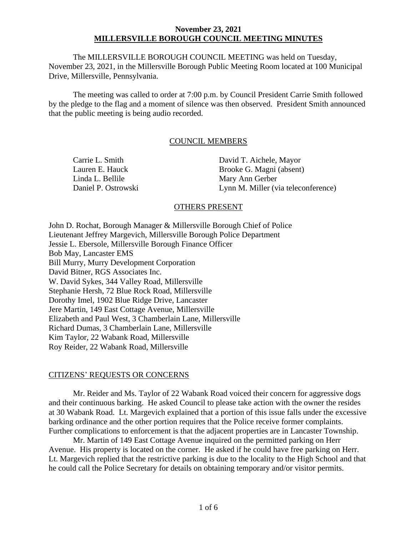The MILLERSVILLE BOROUGH COUNCIL MEETING was held on Tuesday, November 23, 2021, in the Millersville Borough Public Meeting Room located at 100 Municipal Drive, Millersville, Pennsylvania.

The meeting was called to order at 7:00 p.m. by Council President Carrie Smith followed by the pledge to the flag and a moment of silence was then observed. President Smith announced that the public meeting is being audio recorded.

# COUNCIL MEMBERS

| Carrie L. Smith     | David T. Aichele, Mayor             |
|---------------------|-------------------------------------|
| Lauren E. Hauck     | Brooke G. Magni (absent)            |
| Linda L. Bellile    | Mary Ann Gerber                     |
| Daniel P. Ostrowski | Lynn M. Miller (via teleconference) |
|                     |                                     |

# OTHERS PRESENT

John D. Rochat, Borough Manager & Millersville Borough Chief of Police Lieutenant Jeffrey Margevich, Millersville Borough Police Department Jessie L. Ebersole, Millersville Borough Finance Officer Bob May, Lancaster EMS Bill Murry, Murry Development Corporation David Bitner, RGS Associates Inc. W. David Sykes, 344 Valley Road, Millersville Stephanie Hersh, 72 Blue Rock Road, Millersville Dorothy Imel, 1902 Blue Ridge Drive, Lancaster Jere Martin, 149 East Cottage Avenue, Millersville Elizabeth and Paul West, 3 Chamberlain Lane, Millersville Richard Dumas, 3 Chamberlain Lane, Millersville Kim Taylor, 22 Wabank Road, Millersville Roy Reider, 22 Wabank Road, Millersville

# CITIZENS' REQUESTS OR CONCERNS

Mr. Reider and Ms. Taylor of 22 Wabank Road voiced their concern for aggressive dogs and their continuous barking. He asked Council to please take action with the owner the resides at 30 Wabank Road. Lt. Margevich explained that a portion of this issue falls under the excessive barking ordinance and the other portion requires that the Police receive former complaints. Further complications to enforcement is that the adjacent properties are in Lancaster Township.

Mr. Martin of 149 East Cottage Avenue inquired on the permitted parking on Herr Avenue. His property is located on the corner. He asked if he could have free parking on Herr. Lt. Margevich replied that the restrictive parking is due to the locality to the High School and that he could call the Police Secretary for details on obtaining temporary and/or visitor permits.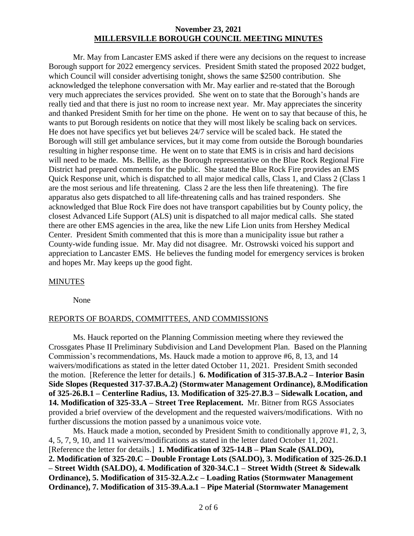Mr. May from Lancaster EMS asked if there were any decisions on the request to increase Borough support for 2022 emergency services. President Smith stated the proposed 2022 budget, which Council will consider advertising tonight, shows the same \$2500 contribution. She acknowledged the telephone conversation with Mr. May earlier and re-stated that the Borough very much appreciates the services provided. She went on to state that the Borough's hands are really tied and that there is just no room to increase next year. Mr. May appreciates the sincerity and thanked President Smith for her time on the phone. He went on to say that because of this, he wants to put Borough residents on notice that they will most likely be scaling back on services. He does not have specifics yet but believes 24/7 service will be scaled back. He stated the Borough will still get ambulance services, but it may come from outside the Borough boundaries resulting in higher response time. He went on to state that EMS is in crisis and hard decisions will need to be made. Ms. Bellile, as the Borough representative on the Blue Rock Regional Fire District had prepared comments for the public. She stated the Blue Rock Fire provides an EMS Quick Response unit, which is dispatched to all major medical calls, Class 1, and Class 2 (Class 1 are the most serious and life threatening. Class 2 are the less then life threatening). The fire apparatus also gets dispatched to all life-threatening calls and has trained responders. She acknowledged that Blue Rock Fire does not have transport capabilities but by County policy, the closest Advanced Life Support (ALS) unit is dispatched to all major medical calls. She stated there are other EMS agencies in the area, like the new Life Lion units from Hershey Medical Center. President Smith commented that this is more than a municipality issue but rather a County-wide funding issue. Mr. May did not disagree. Mr. Ostrowski voiced his support and appreciation to Lancaster EMS. He believes the funding model for emergency services is broken and hopes Mr. May keeps up the good fight.

# MINUTES

None

# REPORTS OF BOARDS, COMMITTEES, AND COMMISSIONS

Ms. Hauck reported on the Planning Commission meeting where they reviewed the Crossgates Phase II Preliminary Subdivision and Land Development Plan. Based on the Planning Commission's recommendations, Ms. Hauck made a motion to approve #6, 8, 13, and 14 waivers/modifications as stated in the letter dated October 11, 2021. President Smith seconded the motion. [Reference the letter for details.] **6. Modification of 315-37.B.A.2 – Interior Basin Side Slopes (Requested 317-37.B.A.2) (Stormwater Management Ordinance), 8.Modification of 325-26.B.1 – Centerline Radius, 13. Modification of 325-27.B.3 – Sidewalk Location, and 14. Modification of 325-33.A – Street Tree Replacement.** Mr. Bitner from RGS Associates provided a brief overview of the development and the requested waivers/modifications. With no further discussions the motion passed by a unanimous voice vote.

Ms. Hauck made a motion, seconded by President Smith to conditionally approve #1, 2, 3, 4, 5, 7, 9, 10, and 11 waivers/modifications as stated in the letter dated October 11, 2021. [Reference the letter for details.] **1. Modification of 325-14.B – Plan Scale (SALDO), 2. Modification of 325-20.C – Double Frontage Lots (SALDO), 3. Modification of 325-26.D.1 – Street Width (SALDO), 4. Modification of 320-34.C.1 – Street Width (Street & Sidewalk Ordinance), 5. Modification of 315-32.A.2.c – Loading Ratios (Stormwater Management Ordinance), 7. Modification of 315-39.A.a.1 – Pipe Material (Stormwater Management**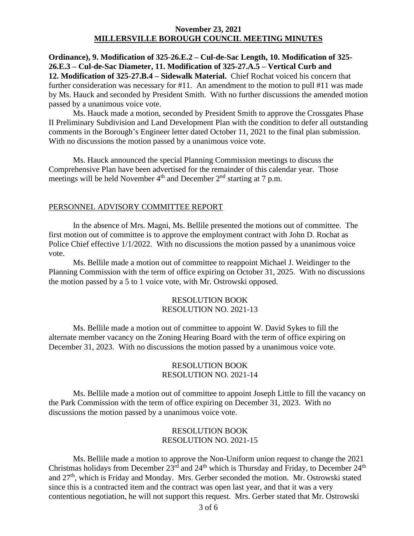**Ordinance), 9. Modification of 325-26.E.2 – Cul-de-Sac Length, 10. Modification of 325- 26.E.3 – Cul-de-Sac Diameter, 11. Modification of 325-27.A.5 – Vertical Curb and 12. Modification of 325-27.B.4 – Sidewalk Material.** Chief Rochat voiced his concern that further consideration was necessary for #11. An amendment to the motion to pull #11 was made by Ms. Hauck and seconded by President Smith. With no further discussions the amended motion passed by a unanimous voice vote.

Ms. Hauck made a motion, seconded by President Smith to approve the Crossgates Phase II Preliminary Subdivision and Land Development Plan with the condition to defer all outstanding comments in the Borough's Engineer letter dated October 11, 2021 to the final plan submission. With no discussions the motion passed by a unanimous voice vote.

Ms. Hauck announced the special Planning Commission meetings to discuss the Comprehensive Plan have been advertised for the remainder of this calendar year. Those meetings will be held November  $4<sup>th</sup>$  and December  $2<sup>nd</sup>$  starting at 7 p.m.

#### PERSONNEL ADVISORY COMMITTEE REPORT

In the absence of Mrs. Magni, Ms. Bellile presented the motions out of committee. The first motion out of committee is to approve the employment contract with John D. Rochat as Police Chief effective 1/1/2022. With no discussions the motion passed by a unanimous voice vote.

Ms. Bellile made a motion out of committee to reappoint Michael J. Weidinger to the Planning Commission with the term of office expiring on October 31, 2025. With no discussions the motion passed by a 5 to 1 voice vote, with Mr. Ostrowski opposed.

#### RESOLUTION BOOK RESOLUTION NO. 2021-13

Ms. Bellile made a motion out of committee to appoint W. David Sykes to fill the alternate member vacancy on the Zoning Hearing Board with the term of office expiring on December 31, 2023. With no discussions the motion passed by a unanimous voice vote.

# RESOLUTION BOOK RESOLUTION NO. 2021-14

Ms. Bellile made a motion out of committee to appoint Joseph Little to fill the vacancy on the Park Commission with the term of office expiring on December 31, 2023. With no discussions the motion passed by a unanimous voice vote.

#### RESOLUTION BOOK RESOLUTION NO. 2021-15

Ms. Bellile made a motion to approve the Non-Uniform union request to change the 2021 Christmas holidays from December  $23^{\text{rd}}$  and  $24^{\text{th}}$  which is Thursday and Friday, to December  $24^{\text{th}}$ and 27<sup>th</sup>, which is Friday and Monday. Mrs. Gerber seconded the motion. Mr. Ostrowski stated since this is a contracted item and the contract was open last year, and that it was a very contentious negotiation, he will not support this request. Mrs. Gerber stated that Mr. Ostrowski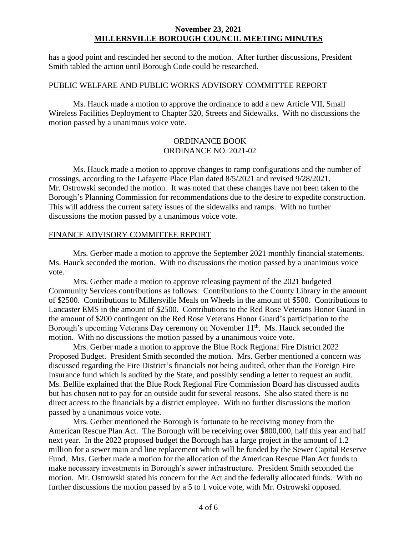has a good point and rescinded her second to the motion. After further discussions, President Smith tabled the action until Borough Code could be researched.

#### PUBLIC WELFARE AND PUBLIC WORKS ADVISORY COMMITTEE REPORT

Ms. Hauck made a motion to approve the ordinance to add a new Article VII, Small Wireless Facilities Deployment to Chapter 320, Streets and Sidewalks. With no discussions the motion passed by a unanimous voice vote.

# ORDINANCE BOOK ORDINANCE NO. 2021-02

Ms. Hauck made a motion to approve changes to ramp configurations and the number of crossings, according to the Lafayette Place Plan dated 8/5/2021 and revised 9/28/2021. Mr. Ostrowski seconded the motion. It was noted that these changes have not been taken to the Borough's Planning Commission for recommendations due to the desire to expedite construction. This will address the current safety issues of the sidewalks and ramps. With no further discussions the motion passed by a unanimous voice vote.

#### FINANCE ADVISORY COMMITTEE REPORT

Mrs. Gerber made a motion to approve the September 2021 monthly financial statements. Ms. Hauck seconded the motion. With no discussions the motion passed by a unanimous voice vote.

Mrs. Gerber made a motion to approve releasing payment of the 2021 budgeted Community Services contributions as follows: Contributions to the County Library in the amount of \$2500. Contributions to Millersville Meals on Wheels in the amount of \$500. Contributions to Lancaster EMS in the amount of \$2500. Contributions to the Red Rose Veterans Honor Guard in the amount of \$200 contingent on the Red Rose Veterans Honor Guard's participation to the Borough's upcoming Veterans Day ceremony on November  $11<sup>th</sup>$ . Ms. Hauck seconded the motion. With no discussions the motion passed by a unanimous voice vote.

Mrs. Gerber made a motion to approve the Blue Rock Regional Fire District 2022 Proposed Budget. President Smith seconded the motion. Mrs. Gerber mentioned a concern was discussed regarding the Fire District's financials not being audited, other than the Foreign Fire Insurance fund which is audited by the State, and possibly sending a letter to request an audit. Ms. Bellile explained that the Blue Rock Regional Fire Commission Board has discussed audits but has chosen not to pay for an outside audit for several reasons. She also stated there is no direct access to the financials by a district employee. With no further discussions the motion passed by a unanimous voice vote.

Mrs. Gerber mentioned the Borough is fortunate to be receiving money from the American Rescue Plan Act. The Borough will be receiving over \$800,000, half this year and half next year. In the 2022 proposed budget the Borough has a large project in the amount of 1.2 million for a sewer main and line replacement which will be funded by the Sewer Capital Reserve Fund. Mrs. Gerber made a motion for the allocation of the American Rescue Plan Act funds to make necessary investments in Borough's sewer infrastructure. President Smith seconded the motion. Mr. Ostrowski stated his concern for the Act and the federally allocated funds. With no further discussions the motion passed by a 5 to 1 voice vote, with Mr. Ostrowski opposed.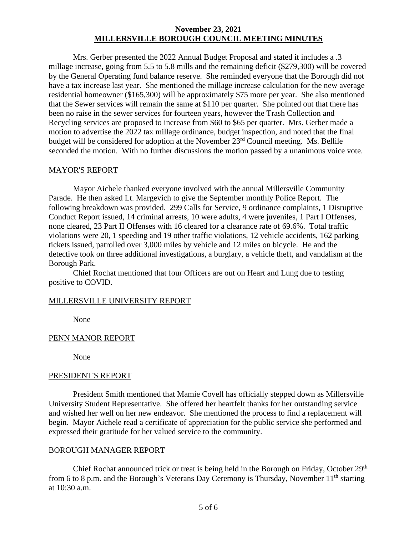Mrs. Gerber presented the 2022 Annual Budget Proposal and stated it includes a .3 millage increase, going from 5.5 to 5.8 mills and the remaining deficit (\$279,300) will be covered by the General Operating fund balance reserve. She reminded everyone that the Borough did not have a tax increase last year. She mentioned the millage increase calculation for the new average residential homeowner (\$165,300) will be approximately \$75 more per year. She also mentioned that the Sewer services will remain the same at \$110 per quarter. She pointed out that there has been no raise in the sewer services for fourteen years, however the Trash Collection and Recycling services are proposed to increase from \$60 to \$65 per quarter. Mrs. Gerber made a motion to advertise the 2022 tax millage ordinance, budget inspection, and noted that the final budget will be considered for adoption at the November 23<sup>rd</sup> Council meeting. Ms. Bellile seconded the motion. With no further discussions the motion passed by a unanimous voice vote.

# MAYOR'S REPORT

Mayor Aichele thanked everyone involved with the annual Millersville Community Parade. He then asked Lt. Margevich to give the September monthly Police Report. The following breakdown was provided. 299 Calls for Service, 9 ordinance complaints, 1 Disruptive Conduct Report issued, 14 criminal arrests, 10 were adults, 4 were juveniles, 1 Part I Offenses, none cleared, 23 Part II Offenses with 16 cleared for a clearance rate of 69.6%. Total traffic violations were 20, 1 speeding and 19 other traffic violations, 12 vehicle accidents, 162 parking tickets issued, patrolled over 3,000 miles by vehicle and 12 miles on bicycle. He and the detective took on three additional investigations, a burglary, a vehicle theft, and vandalism at the Borough Park.

Chief Rochat mentioned that four Officers are out on Heart and Lung due to testing positive to COVID.

# MILLERSVILLE UNIVERSITY REPORT

None

# PENN MANOR REPORT

None

# PRESIDENT'S REPORT

President Smith mentioned that Mamie Covell has officially stepped down as Millersville University Student Representative. She offered her heartfelt thanks for her outstanding service and wished her well on her new endeavor. She mentioned the process to find a replacement will begin. Mayor Aichele read a certificate of appreciation for the public service she performed and expressed their gratitude for her valued service to the community.

# BOROUGH MANAGER REPORT

Chief Rochat announced trick or treat is being held in the Borough on Friday, October 29<sup>th</sup> from 6 to 8 p.m. and the Borough's Veterans Day Ceremony is Thursday, November  $11<sup>th</sup>$  starting at 10:30 a.m.